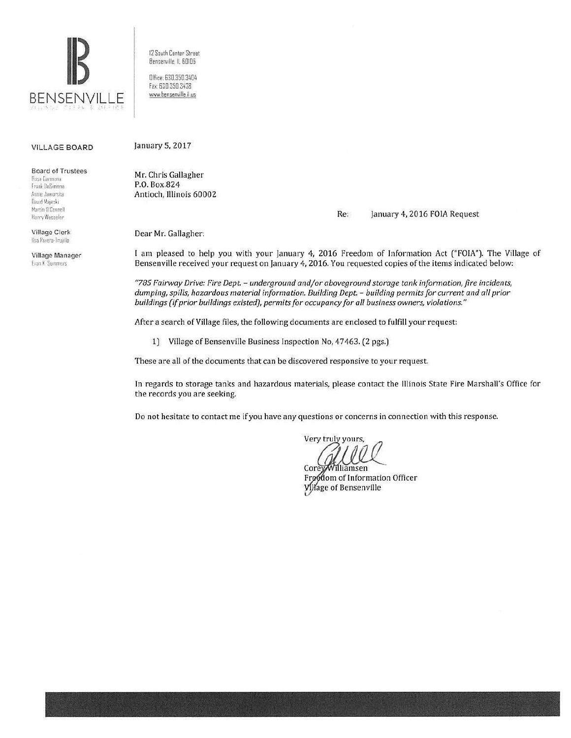

12 South Center Street Bensenville. ll 60106

Office: 630.350.3404 fax. 630.350 3438 www.bensenville.il.us

#### VILLAGE BOARD

Board of Trustees

**Rosa Carmona**  Frank DeSimone Annie Jaworska flavid Majeski Martin O'Connell Henry Wesseler

Village Clerk Ilsa Rivera-Trujillo

Village Manager Evan K Summers

January 5, 2017

Mr. Chris Gallagher P.O. Box.824 Antioch, Illinois 60002

Re: January 4, 2016 FOIA Request

Dear Mr. Gallagher:

I am pleased to help you with your January 4, 2016 Freedom of Information Act ("FOIA"). The Village of Bensenville received your request on January 4, 2016. You requested copies of the items indicated below:

*"785 Fairway Drive: Fire Dept.* - *underground and/or aboveground storage tank information, fire incidents, dumping, spills, hazardous material information. Building Dept.* - *building permits for current and all prior buildings (if prior buildings existed), permits for occupancy for all business owners, violations."* 

After a search of Village files, the following documents are enclosed to fulfill your request:

l) Village of Bensenville Business Inspection No, 47463. (2 pgs.)

These are all of the documents that can be discovered responsive to your request.

In regards to storage tanks and hazardous materials, please contact the Illinois State Fire Marshall's Office for the records you are seeking.

Do not hesitate to contact me if you have any questions or concerns in connection with this response.

Very truly yours,

Corey Williamsen Froodom of Information Officer Village of Bensenville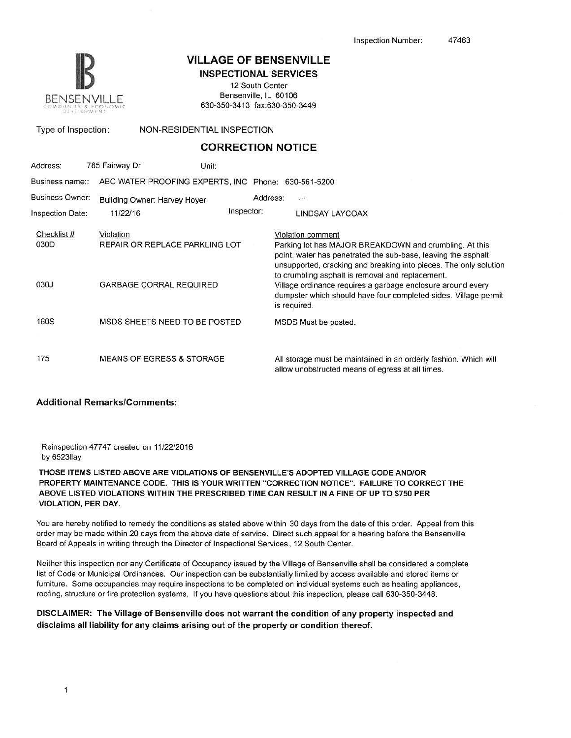

# **IB VILLAGE OF BENSENVILLE**

INSPECTIONAL SERVICES

12 South Center Bensenville, IL 60106 630-350-3413 fax:630-350-3449

Type of Inspection: NON-RESIDENTIAL INSPECTION

## **CORRECTION NOTICE**

| Address:                | 785 Fairway Dr                       | Unit:      |                                                                                                                                                                                                                                                  |  |  |
|-------------------------|--------------------------------------|------------|--------------------------------------------------------------------------------------------------------------------------------------------------------------------------------------------------------------------------------------------------|--|--|
| Business name::         |                                      |            | ABC WATER PROOFING EXPERTS, INC Phone: 630-561-5200                                                                                                                                                                                              |  |  |
| <b>Business Owner:</b>  | <b>Building Owner: Harvey Hover</b>  |            | Address:<br>$-1$                                                                                                                                                                                                                                 |  |  |
| <b>Inspection Date:</b> | 11/22/16                             | Inspector: | LINDSAY LAYCCAX                                                                                                                                                                                                                                  |  |  |
| Checklist #             | Violation                            |            | Violation comment                                                                                                                                                                                                                                |  |  |
| 030D                    | REPAIR OR REPLACE PARKLING LOT       |            | Parking lot has MAJOR BREAKDOWN and crumbling. At this<br>point, water has penetrated the sub-base, leaving the asphalt<br>unsupported, cracking and breaking into pieces. The only solution<br>to crumbling asphalt is removal and replacement. |  |  |
| 030J                    | <b>GARBAGE CORRAL REQUIRED</b>       |            | Village ordinance requires a garbage enclosure around every<br>dumpster which should have four completed sides. Village permit<br>is required.                                                                                                   |  |  |
| <b>160S</b>             | MSDS SHEETS NEED TO BE POSTED        |            | MSDS Must be posted.                                                                                                                                                                                                                             |  |  |
| 175                     | <b>MEANS OF EGRESS &amp; STORAGE</b> |            | All storage must be maintained in an orderly fashion. Which will<br>allow unobstructed means of egress at all times.                                                                                                                             |  |  |

### Additional Remarks/Comments:

Reinspection 47747 created on 11/22/2016 by 6523llay

THOSE ITEMS LISTED ABOVE ARE VIOLATIONS OF BENSENVILLE'S ADOPTED VILLAGE CODE AND/OR PROPERTY MAINTENANCE CODE. THIS IS YOUR WRITTEN "CORRECTION NOTICE". FAILURE TO CORRECT THE ABOVE LISTED VIOLATIONS WITHIN THE PRESCRIBED TIME CAN RESULT IN A FINE OF UP TO \$750 PER VIOLATION, PER DAY.

You are hereby notified to remedy the conditions as stated above within 30 days from the date of this order. Appeal from this order may be made within 20 days from the above date of service. Direct such appeal for a hearing before the Bensenville Board of Appeals in writing through the Director of lnspectional Services, 12 South Center.

Neither this inspection nor any Certificate of Occupancy issued by the Village of Bensenville shall be considered a complete list of Code or Municipal Ordinances. Our inspection can be substantially limited by access available and stored items or furniture. Some occupancies may require inspections to be completed on individual systems such as heating appliances, roofing, structure or fire protection systems. If you have questions about this inspection, please call 630-350-3448.

### DISCLAIMER: The Village of Bensenville does not warrant the condition of any property inspected and disclaims all liability for any claims arising out of the property or condition thereof.